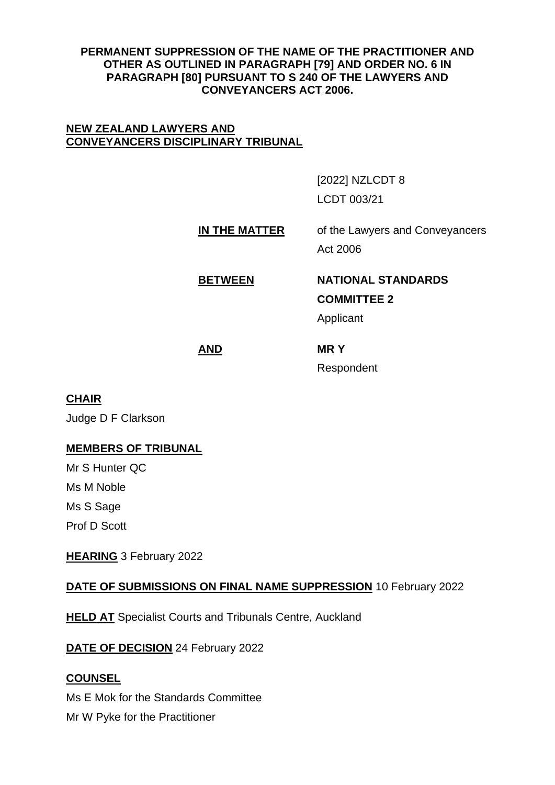### **PERMANENT SUPPRESSION OF THE NAME OF THE PRACTITIONER AND OTHER AS OUTLINED IN PARAGRAPH [79] AND ORDER NO. 6 IN PARAGRAPH [80] PURSUANT TO S 240 OF THE LAWYERS AND CONVEYANCERS ACT 2006.**

### **NEW ZEALAND LAWYERS AND CONVEYANCERS DISCIPLINARY TRIBUNAL**

[2022] NZLCDT 8 LCDT 003/21

# **IN THE MATTER** of the Lawyers and Conveyancers Act 2006

# **BETWEEN NATIONAL STANDARDS**

**COMMITTEE 2**

Applicant

**AND MR Y** 

Respondent

# **CHAIR**

Judge D F Clarkson

## **MEMBERS OF TRIBUNAL**

Mr S Hunter QC Ms M Noble Ms S Sage Prof D Scott

**HEARING** 3 February 2022

# **DATE OF SUBMISSIONS ON FINAL NAME SUPPRESSION** 10 February 2022

**HELD AT** Specialist Courts and Tribunals Centre, Auckland

**DATE OF DECISION** 24 February 2022

## **COUNSEL**

Ms E Mok for the Standards Committee Mr W Pyke for the Practitioner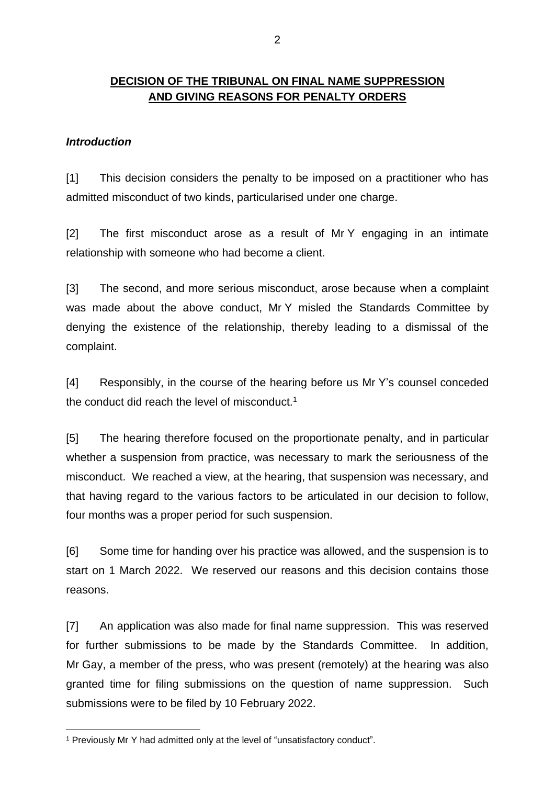# **DECISION OF THE TRIBUNAL ON FINAL NAME SUPPRESSION AND GIVING REASONS FOR PENALTY ORDERS**

### *Introduction*

[1] This decision considers the penalty to be imposed on a practitioner who has admitted misconduct of two kinds, particularised under one charge.

[2] The first misconduct arose as a result of Mr Y engaging in an intimate relationship with someone who had become a client.

[3] The second, and more serious misconduct, arose because when a complaint was made about the above conduct, Mr Y misled the Standards Committee by denying the existence of the relationship, thereby leading to a dismissal of the complaint.

[4] Responsibly, in the course of the hearing before us Mr Y's counsel conceded the conduct did reach the level of misconduct.<sup>1</sup>

[5] The hearing therefore focused on the proportionate penalty, and in particular whether a suspension from practice, was necessary to mark the seriousness of the misconduct. We reached a view, at the hearing, that suspension was necessary, and that having regard to the various factors to be articulated in our decision to follow, four months was a proper period for such suspension.

[6] Some time for handing over his practice was allowed, and the suspension is to start on 1 March 2022. We reserved our reasons and this decision contains those reasons.

[7] An application was also made for final name suppression. This was reserved for further submissions to be made by the Standards Committee. In addition, Mr Gay, a member of the press, who was present (remotely) at the hearing was also granted time for filing submissions on the question of name suppression. Such submissions were to be filed by 10 February 2022.

<sup>1</sup> Previously Mr Y had admitted only at the level of "unsatisfactory conduct".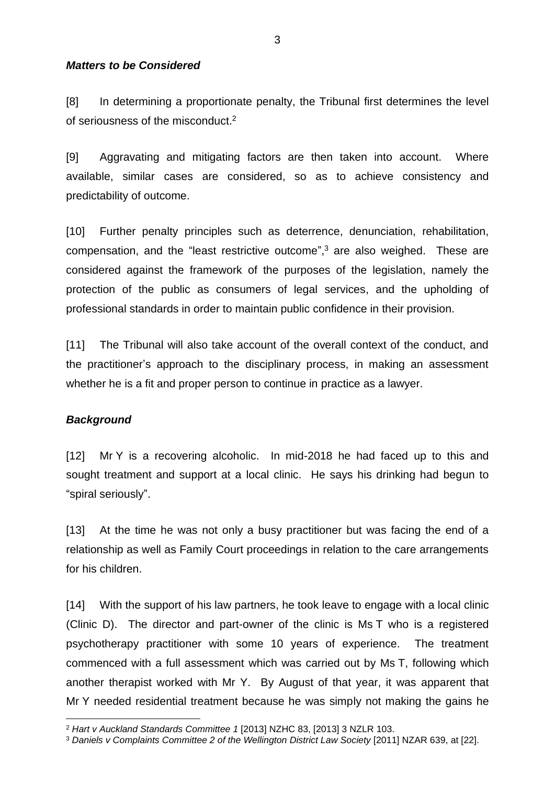### *Matters to be Considered*

[8] In determining a proportionate penalty, the Tribunal first determines the level of seriousness of the misconduct  $2$ 

[9] Aggravating and mitigating factors are then taken into account. Where available, similar cases are considered, so as to achieve consistency and predictability of outcome.

[10] Further penalty principles such as deterrence, denunciation, rehabilitation, compensation, and the "least restrictive outcome", <sup>3</sup> are also weighed. These are considered against the framework of the purposes of the legislation, namely the protection of the public as consumers of legal services, and the upholding of professional standards in order to maintain public confidence in their provision.

[11] The Tribunal will also take account of the overall context of the conduct, and the practitioner's approach to the disciplinary process, in making an assessment whether he is a fit and proper person to continue in practice as a lawyer.

### *Background*

[12] Mr Y is a recovering alcoholic. In mid-2018 he had faced up to this and sought treatment and support at a local clinic. He says his drinking had begun to "spiral seriously".

[13] At the time he was not only a busy practitioner but was facing the end of a relationship as well as Family Court proceedings in relation to the care arrangements for his children.

[14] With the support of his law partners, he took leave to engage with a local clinic (Clinic D). The director and part-owner of the clinic is Ms T who is a registered psychotherapy practitioner with some 10 years of experience. The treatment commenced with a full assessment which was carried out by Ms T, following which another therapist worked with Mr Y. By August of that year, it was apparent that Mr Y needed residential treatment because he was simply not making the gains he

<sup>2</sup> *Hart v Auckland Standards Committee 1* [2013] NZHC 83, [2013] 3 NZLR 103.

<sup>3</sup> *Daniels v Complaints Committee 2 of the Wellington District Law Society* [2011] NZAR 639, at [22].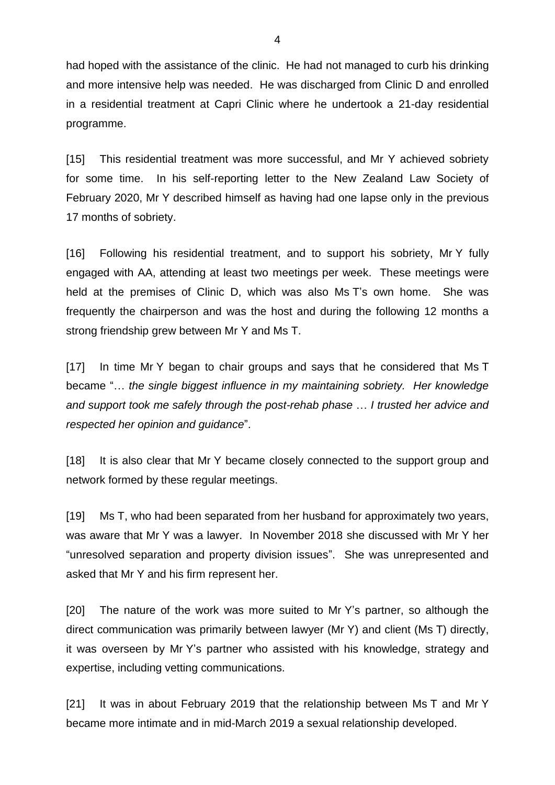had hoped with the assistance of the clinic. He had not managed to curb his drinking and more intensive help was needed. He was discharged from Clinic D and enrolled in a residential treatment at Capri Clinic where he undertook a 21-day residential programme.

[15] This residential treatment was more successful, and Mr Y achieved sobriety for some time. In his self-reporting letter to the New Zealand Law Society of February 2020, Mr Y described himself as having had one lapse only in the previous 17 months of sobriety.

[16] Following his residential treatment, and to support his sobriety, Mr Y fully engaged with AA, attending at least two meetings per week. These meetings were held at the premises of Clinic D, which was also Ms T's own home. She was frequently the chairperson and was the host and during the following 12 months a strong friendship grew between Mr Y and Ms T.

[17] In time Mr Y began to chair groups and says that he considered that Ms T became "… *the single biggest influence in my maintaining sobriety. Her knowledge and support took me safely through the post-rehab phase* … *I trusted her advice and respected her opinion and guidance*".

[18] It is also clear that Mr Y became closely connected to the support group and network formed by these regular meetings.

[19] Ms T, who had been separated from her husband for approximately two years, was aware that Mr Y was a lawyer. In November 2018 she discussed with Mr Y her "unresolved separation and property division issues". She was unrepresented and asked that Mr Y and his firm represent her.

[20] The nature of the work was more suited to Mr Y's partner, so although the direct communication was primarily between lawyer (Mr Y) and client (Ms T) directly, it was overseen by Mr Y's partner who assisted with his knowledge, strategy and expertise, including vetting communications.

[21] It was in about February 2019 that the relationship between Ms T and Mr Y became more intimate and in mid-March 2019 a sexual relationship developed.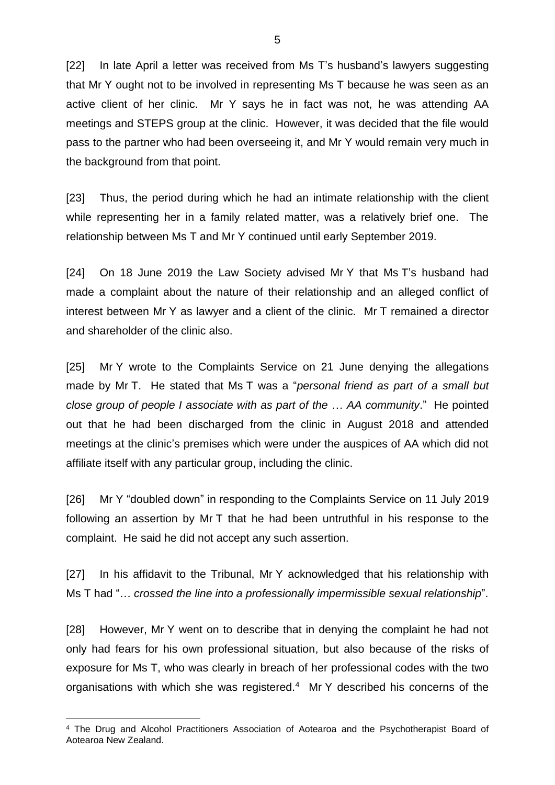[22] In late April a letter was received from Ms T's husband's lawyers suggesting that Mr Y ought not to be involved in representing Ms T because he was seen as an active client of her clinic. Mr Y says he in fact was not, he was attending AA meetings and STEPS group at the clinic. However, it was decided that the file would pass to the partner who had been overseeing it, and Mr Y would remain very much in the background from that point.

[23] Thus, the period during which he had an intimate relationship with the client while representing her in a family related matter, was a relatively brief one. The relationship between Ms T and Mr Y continued until early September 2019.

[24] On 18 June 2019 the Law Society advised Mr Y that Ms T's husband had made a complaint about the nature of their relationship and an alleged conflict of interest between Mr Y as lawyer and a client of the clinic. Mr T remained a director and shareholder of the clinic also.

[25] Mr Y wrote to the Complaints Service on 21 June denying the allegations made by Mr T. He stated that Ms T was a "*personal friend as part of a small but close group of people I associate with as part of the* … *AA community*." He pointed out that he had been discharged from the clinic in August 2018 and attended meetings at the clinic's premises which were under the auspices of AA which did not affiliate itself with any particular group, including the clinic.

[26] Mr Y "doubled down" in responding to the Complaints Service on 11 July 2019 following an assertion by Mr T that he had been untruthful in his response to the complaint. He said he did not accept any such assertion.

[27] In his affidavit to the Tribunal, Mr Y acknowledged that his relationship with Ms T had "… *crossed the line into a professionally impermissible sexual relationship*".

[28] However, Mr Y went on to describe that in denying the complaint he had not only had fears for his own professional situation, but also because of the risks of exposure for Ms T, who was clearly in breach of her professional codes with the two organisations with which she was registered.<sup>4</sup> Mr Y described his concerns of the

<sup>4</sup> The Drug and Alcohol Practitioners Association of Aotearoa and the Psychotherapist Board of Aotearoa New Zealand.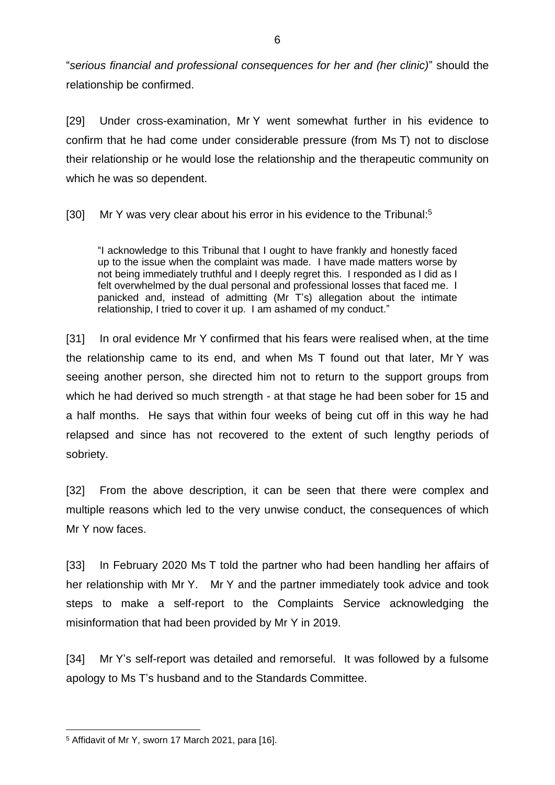"*serious financial and professional consequences for her and (her clinic)*" should the relationship be confirmed.

[29] Under cross-examination, Mr Y went somewhat further in his evidence to confirm that he had come under considerable pressure (from Ms T) not to disclose their relationship or he would lose the relationship and the therapeutic community on which he was so dependent.

[30] Mr Y was very clear about his error in his evidence to the Tribunal:<sup>5</sup>

"I acknowledge to this Tribunal that I ought to have frankly and honestly faced up to the issue when the complaint was made. I have made matters worse by not being immediately truthful and I deeply regret this. I responded as I did as I felt overwhelmed by the dual personal and professional losses that faced me. I panicked and, instead of admitting (Mr T's) allegation about the intimate relationship, I tried to cover it up. I am ashamed of my conduct."

[31] In oral evidence Mr Y confirmed that his fears were realised when, at the time the relationship came to its end, and when Ms T found out that later, Mr Y was seeing another person, she directed him not to return to the support groups from which he had derived so much strength - at that stage he had been sober for 15 and a half months. He says that within four weeks of being cut off in this way he had relapsed and since has not recovered to the extent of such lengthy periods of sobriety.

[32] From the above description, it can be seen that there were complex and multiple reasons which led to the very unwise conduct, the consequences of which Mr Y now faces.

[33] In February 2020 Ms T told the partner who had been handling her affairs of her relationship with Mr Y. Mr Y and the partner immediately took advice and took steps to make a self-report to the Complaints Service acknowledging the misinformation that had been provided by Mr Y in 2019.

[34] Mr Y's self-report was detailed and remorseful. It was followed by a fulsome apology to Ms T's husband and to the Standards Committee.

<sup>5</sup> Affidavit of Mr Y, sworn 17 March 2021, para [16].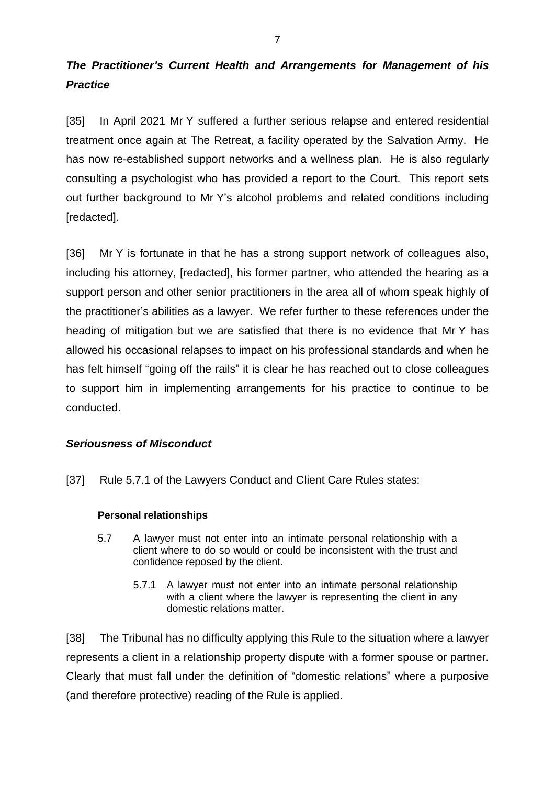# *The Practitioner's Current Health and Arrangements for Management of his Practice*

[35] In April 2021 Mr Y suffered a further serious relapse and entered residential treatment once again at The Retreat, a facility operated by the Salvation Army. He has now re-established support networks and a wellness plan. He is also regularly consulting a psychologist who has provided a report to the Court. This report sets out further background to Mr Y's alcohol problems and related conditions including [redacted].

[36] Mr Y is fortunate in that he has a strong support network of colleagues also, including his attorney, [redacted], his former partner, who attended the hearing as a support person and other senior practitioners in the area all of whom speak highly of the practitioner's abilities as a lawyer. We refer further to these references under the heading of mitigation but we are satisfied that there is no evidence that Mr Y has allowed his occasional relapses to impact on his professional standards and when he has felt himself "going off the rails" it is clear he has reached out to close colleagues to support him in implementing arrangements for his practice to continue to be conducted.

### *Seriousness of Misconduct*

[37] Rule 5.7.1 of the Lawyers Conduct and Client Care Rules states:

### **Personal relationships**

- 5.7 A lawyer must not enter into an intimate personal relationship with a client where to do so would or could be inconsistent with the trust and confidence reposed by the client.
	- 5.7.1 A lawyer must not enter into an intimate personal relationship with a client where the lawyer is representing the client in any domestic relations matter.

[38] The Tribunal has no difficulty applying this Rule to the situation where a lawyer represents a client in a relationship property dispute with a former spouse or partner. Clearly that must fall under the definition of "domestic relations" where a purposive (and therefore protective) reading of the Rule is applied.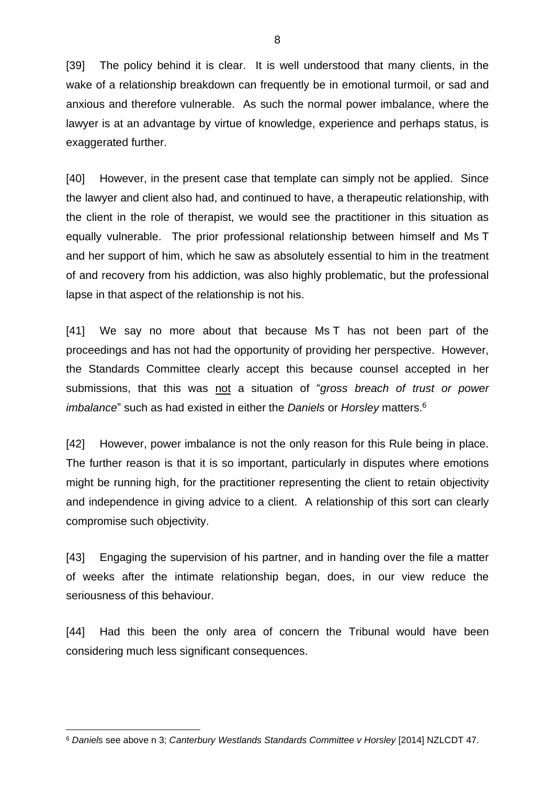[39] The policy behind it is clear. It is well understood that many clients, in the wake of a relationship breakdown can frequently be in emotional turmoil, or sad and anxious and therefore vulnerable. As such the normal power imbalance, where the lawyer is at an advantage by virtue of knowledge, experience and perhaps status, is exaggerated further.

[40] However, in the present case that template can simply not be applied. Since the lawyer and client also had, and continued to have, a therapeutic relationship, with the client in the role of therapist, we would see the practitioner in this situation as equally vulnerable. The prior professional relationship between himself and Ms T and her support of him, which he saw as absolutely essential to him in the treatment of and recovery from his addiction, was also highly problematic, but the professional lapse in that aspect of the relationship is not his.

[41] We say no more about that because Ms T has not been part of the proceedings and has not had the opportunity of providing her perspective. However, the Standards Committee clearly accept this because counsel accepted in her submissions, that this was not a situation of "*gross breach of trust or power imbalance*" such as had existed in either the *Daniels* or *Horsley* matters.<sup>6</sup>

[42] However, power imbalance is not the only reason for this Rule being in place. The further reason is that it is so important, particularly in disputes where emotions might be running high, for the practitioner representing the client to retain objectivity and independence in giving advice to a client. A relationship of this sort can clearly compromise such objectivity.

[43] Engaging the supervision of his partner, and in handing over the file a matter of weeks after the intimate relationship began, does, in our view reduce the seriousness of this behaviour.

[44] Had this been the only area of concern the Tribunal would have been considering much less significant consequences.

<sup>6</sup> *Daniels* see above n 3; *Canterbury Westlands Standards Committee v Horsley* [2014] NZLCDT 47.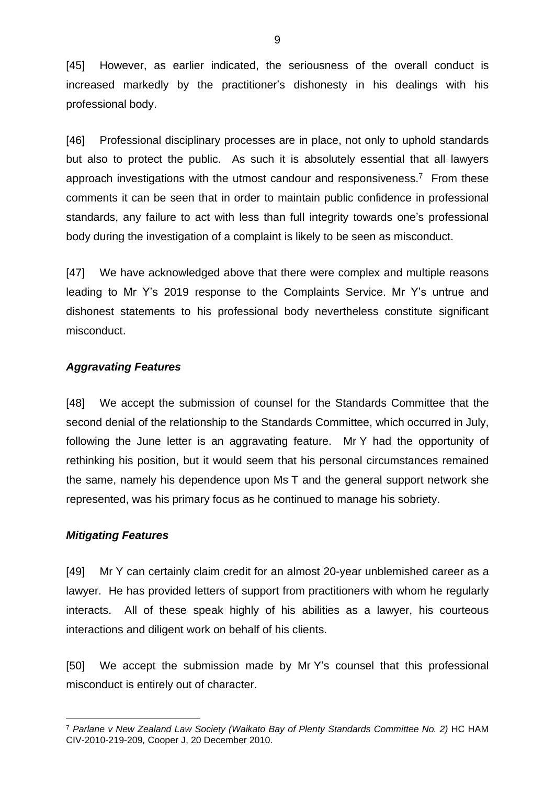[45] However, as earlier indicated, the seriousness of the overall conduct is increased markedly by the practitioner's dishonesty in his dealings with his professional body.

[46] Professional disciplinary processes are in place, not only to uphold standards but also to protect the public. As such it is absolutely essential that all lawyers approach investigations with the utmost candour and responsiveness.<sup>7</sup> From these comments it can be seen that in order to maintain public confidence in professional standards, any failure to act with less than full integrity towards one's professional body during the investigation of a complaint is likely to be seen as misconduct.

[47] We have acknowledged above that there were complex and multiple reasons leading to Mr Y's 2019 response to the Complaints Service. Mr Y's untrue and dishonest statements to his professional body nevertheless constitute significant misconduct.

### *Aggravating Features*

[48] We accept the submission of counsel for the Standards Committee that the second denial of the relationship to the Standards Committee, which occurred in July, following the June letter is an aggravating feature. Mr Y had the opportunity of rethinking his position, but it would seem that his personal circumstances remained the same, namely his dependence upon Ms T and the general support network she represented, was his primary focus as he continued to manage his sobriety.

### *Mitigating Features*

[49] Mr Y can certainly claim credit for an almost 20-year unblemished career as a lawyer. He has provided letters of support from practitioners with whom he regularly interacts. All of these speak highly of his abilities as a lawyer, his courteous interactions and diligent work on behalf of his clients.

[50] We accept the submission made by Mr Y's counsel that this professional misconduct is entirely out of character.

<sup>&</sup>lt;sup>7</sup> Parlane v New Zealand Law Society (Waikato Bay of Plenty Standards Committee No. 2) HC HAM CIV-2010-219-209*,* Cooper J, 20 December 2010.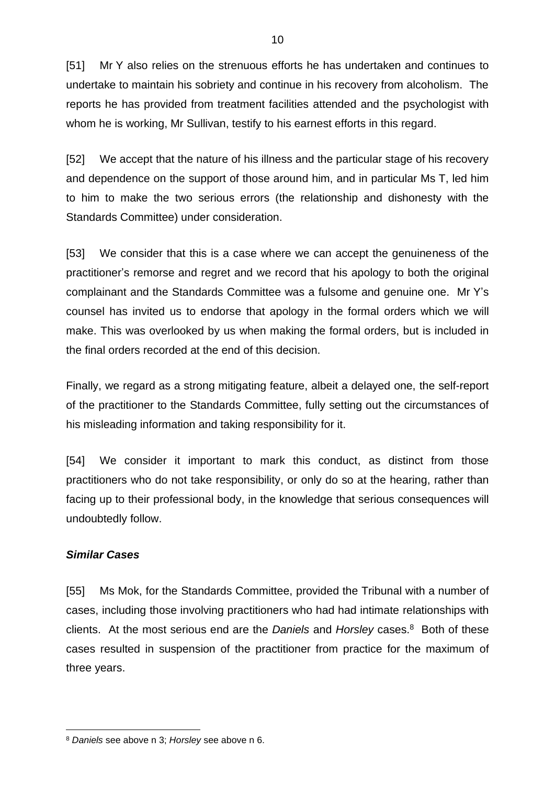[51] Mr Y also relies on the strenuous efforts he has undertaken and continues to undertake to maintain his sobriety and continue in his recovery from alcoholism. The reports he has provided from treatment facilities attended and the psychologist with whom he is working, Mr Sullivan, testify to his earnest efforts in this regard.

[52] We accept that the nature of his illness and the particular stage of his recovery and dependence on the support of those around him, and in particular Ms T, led him to him to make the two serious errors (the relationship and dishonesty with the Standards Committee) under consideration.

[53] We consider that this is a case where we can accept the genuineness of the practitioner's remorse and regret and we record that his apology to both the original complainant and the Standards Committee was a fulsome and genuine one. Mr Y's counsel has invited us to endorse that apology in the formal orders which we will make. This was overlooked by us when making the formal orders, but is included in the final orders recorded at the end of this decision.

Finally, we regard as a strong mitigating feature, albeit a delayed one, the self-report of the practitioner to the Standards Committee, fully setting out the circumstances of his misleading information and taking responsibility for it.

[54] We consider it important to mark this conduct, as distinct from those practitioners who do not take responsibility, or only do so at the hearing, rather than facing up to their professional body, in the knowledge that serious consequences will undoubtedly follow.

### *Similar Cases*

[55] Ms Mok, for the Standards Committee, provided the Tribunal with a number of cases, including those involving practitioners who had had intimate relationships with clients. At the most serious end are the *Daniels* and *Horsley* cases.<sup>8</sup> Both of these cases resulted in suspension of the practitioner from practice for the maximum of three years.

<sup>8</sup> *Daniels* see above n 3; *Horsley* see above n 6.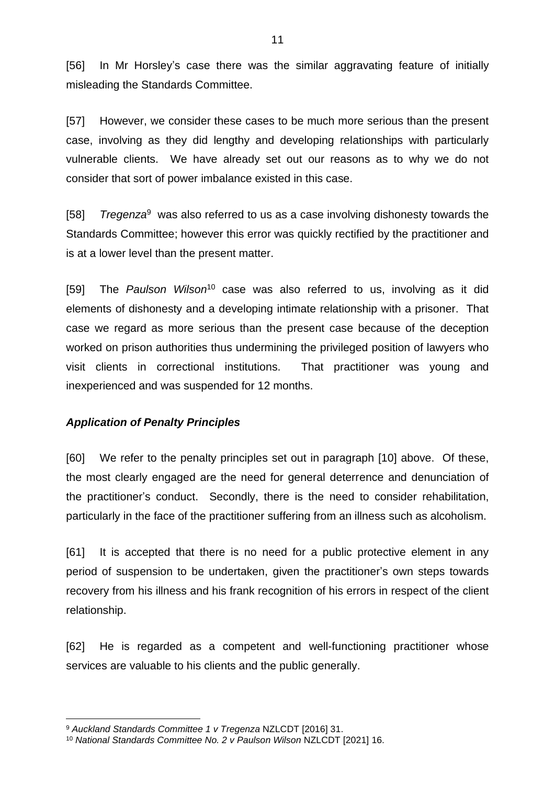[56] In Mr Horsley's case there was the similar aggravating feature of initially misleading the Standards Committee.

[57] However, we consider these cases to be much more serious than the present case, involving as they did lengthy and developing relationships with particularly vulnerable clients. We have already set out our reasons as to why we do not consider that sort of power imbalance existed in this case.

[58] *Tregenza*<sup>9</sup> was also referred to us as a case involving dishonesty towards the Standards Committee; however this error was quickly rectified by the practitioner and is at a lower level than the present matter.

[59] The *Paulson Wilson*<sup>10</sup> case was also referred to us, involving as it did elements of dishonesty and a developing intimate relationship with a prisoner. That case we regard as more serious than the present case because of the deception worked on prison authorities thus undermining the privileged position of lawyers who visit clients in correctional institutions. That practitioner was young and inexperienced and was suspended for 12 months.

### *Application of Penalty Principles*

[60] We refer to the penalty principles set out in paragraph [10] above. Of these, the most clearly engaged are the need for general deterrence and denunciation of the practitioner's conduct. Secondly, there is the need to consider rehabilitation, particularly in the face of the practitioner suffering from an illness such as alcoholism.

[61] It is accepted that there is no need for a public protective element in any period of suspension to be undertaken, given the practitioner's own steps towards recovery from his illness and his frank recognition of his errors in respect of the client relationship.

[62] He is regarded as a competent and well-functioning practitioner whose services are valuable to his clients and the public generally.

<sup>9</sup> *Auckland Standards Committee 1 v Tregenza* NZLCDT [2016] 31.

<sup>10</sup> *National Standards Committee No. 2 v Paulson Wilson* NZLCDT [2021] 16.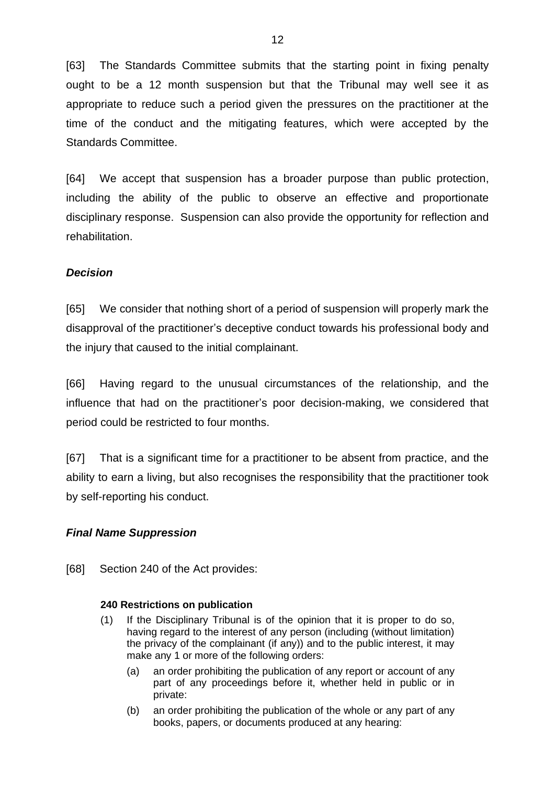[63] The Standards Committee submits that the starting point in fixing penalty ought to be a 12 month suspension but that the Tribunal may well see it as appropriate to reduce such a period given the pressures on the practitioner at the time of the conduct and the mitigating features, which were accepted by the Standards Committee.

[64] We accept that suspension has a broader purpose than public protection, including the ability of the public to observe an effective and proportionate disciplinary response. Suspension can also provide the opportunity for reflection and rehabilitation.

## *Decision*

[65] We consider that nothing short of a period of suspension will properly mark the disapproval of the practitioner's deceptive conduct towards his professional body and the injury that caused to the initial complainant.

[66] Having regard to the unusual circumstances of the relationship, and the influence that had on the practitioner's poor decision-making, we considered that period could be restricted to four months.

[67] That is a significant time for a practitioner to be absent from practice, and the ability to earn a living, but also recognises the responsibility that the practitioner took by self-reporting his conduct.

### *Final Name Suppression*

[68] Section 240 of the Act provides:

### **240 Restrictions on publication**

- (1) If the Disciplinary Tribunal is of the opinion that it is proper to do so, having regard to the interest of any person (including (without limitation) the privacy of the complainant (if any)) and to the public interest, it may make any 1 or more of the following orders:
	- (a) an order prohibiting the publication of any report or account of any part of any proceedings before it, whether held in public or in private:
	- (b) an order prohibiting the publication of the whole or any part of any books, papers, or documents produced at any hearing: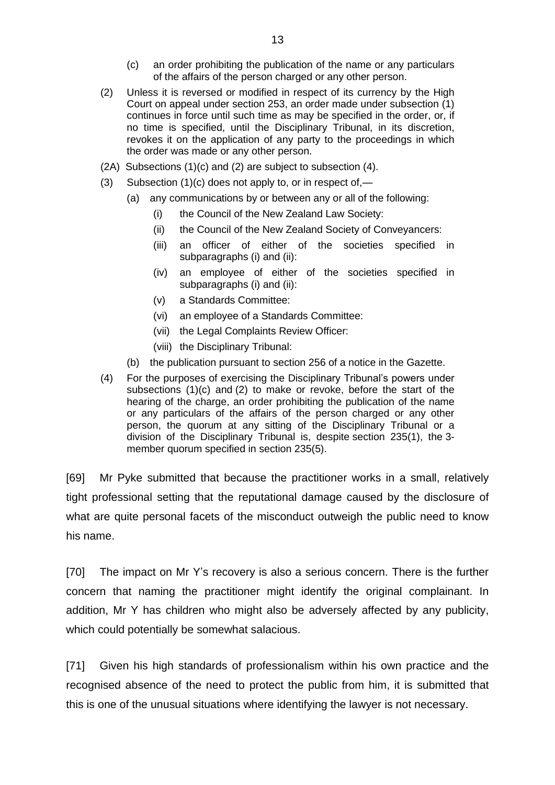- (c) an order prohibiting the publication of the name or any particulars of the affairs of the person charged or any other person.
- (2) Unless it is reversed or modified in respect of its currency by the High Court on appeal under [section](https://legislation.govt.nz/act/public/2006/0001/latest/link.aspx?id=DLM367310#DLM367310) 253, an order made under subsection (1) continues in force until such time as may be specified in the order, or, if no time is specified, until the Disciplinary Tribunal, in its discretion, revokes it on the application of any party to the proceedings in which the order was made or any other person.
- (2A) Subsections (1)(c) and (2) are subject to subsection (4).
- (3) Subsection  $(1)(c)$  does not apply to, or in respect of,—
	- (a) any communications by or between any or all of the following:
		- (i) the Council of the New Zealand Law Society:
		- (ii) the Council of the New Zealand Society of Conveyancers:
		- (iii) an officer of either of the societies specified in subparagraphs (i) and (ii):
		- (iv) an employee of either of the societies specified in subparagraphs (i) and (ii):
		- (v) a Standards Committee:
		- (vi) an employee of a Standards Committee:
		- (vii) the Legal Complaints Review Officer:
		- (viii) the Disciplinary Tribunal:
	- (b) the publication pursuant to [section](https://legislation.govt.nz/act/public/2006/0001/latest/link.aspx?id=DLM367314#DLM367314) 256 of a notice in the Gazette.
- (4) For the purposes of exercising the Disciplinary Tribunal's powers under subsections (1)(c) and (2) to make or revoke, before the start of the hearing of the charge, an order prohibiting the publication of the name or any particulars of the affairs of the person charged or any other person, the quorum at any sitting of the Disciplinary Tribunal or a division of the Disciplinary Tribunal is, despite [section](https://legislation.govt.nz/act/public/2006/0001/latest/link.aspx?id=DLM366788#DLM366788) 235(1), the 3 member quorum specified in section 235(5).

[69] Mr Pyke submitted that because the practitioner works in a small, relatively tight professional setting that the reputational damage caused by the disclosure of what are quite personal facets of the misconduct outweigh the public need to know his name.

[70] The impact on Mr Y's recovery is also a serious concern. There is the further concern that naming the practitioner might identify the original complainant. In addition, Mr Y has children who might also be adversely affected by any publicity, which could potentially be somewhat salacious.

[71] Given his high standards of professionalism within his own practice and the recognised absence of the need to protect the public from him, it is submitted that this is one of the unusual situations where identifying the lawyer is not necessary.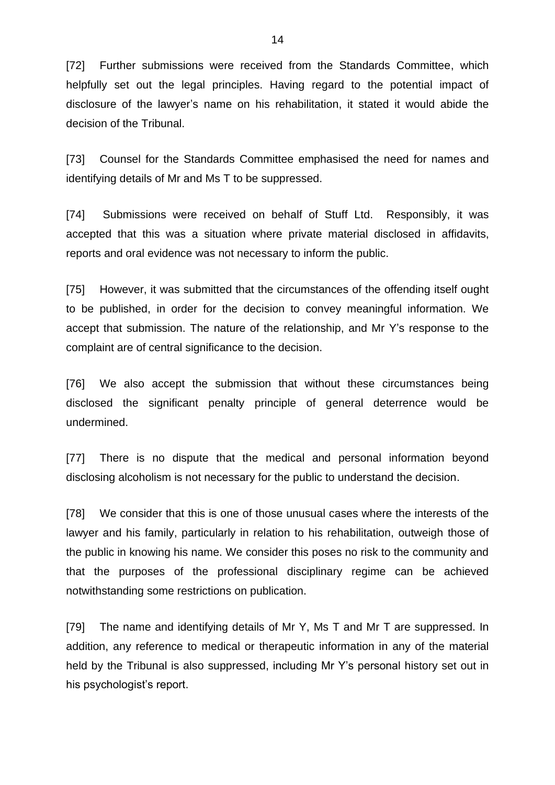[72] Further submissions were received from the Standards Committee, which helpfully set out the legal principles. Having regard to the potential impact of disclosure of the lawyer's name on his rehabilitation, it stated it would abide the decision of the Tribunal.

[73] Counsel for the Standards Committee emphasised the need for names and identifying details of Mr and Ms T to be suppressed.

[74] Submissions were received on behalf of Stuff Ltd. Responsibly, it was accepted that this was a situation where private material disclosed in affidavits, reports and oral evidence was not necessary to inform the public.

[75] However, it was submitted that the circumstances of the offending itself ought to be published, in order for the decision to convey meaningful information. We accept that submission. The nature of the relationship, and Mr Y's response to the complaint are of central significance to the decision.

[76] We also accept the submission that without these circumstances being disclosed the significant penalty principle of general deterrence would be undermined.

[77] There is no dispute that the medical and personal information beyond disclosing alcoholism is not necessary for the public to understand the decision.

[78] We consider that this is one of those unusual cases where the interests of the lawyer and his family, particularly in relation to his rehabilitation, outweigh those of the public in knowing his name. We consider this poses no risk to the community and that the purposes of the professional disciplinary regime can be achieved notwithstanding some restrictions on publication.

[79] The name and identifying details of Mr Y, Ms T and Mr T are suppressed. In addition, any reference to medical or therapeutic information in any of the material held by the Tribunal is also suppressed, including Mr Y's personal history set out in his psychologist's report.